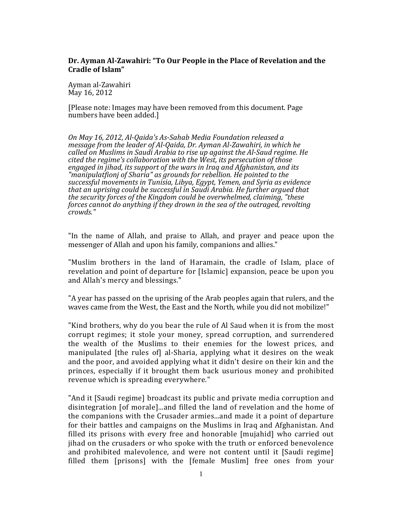## **Dr. Ayman Al-Zawahiri: "To Our People in the Place of Revelation and the Cradle of Islam"**

Ayman al-Zawahiri May 16, 2012

[Please note: Images may have been removed from this document. Page numbers have been added.]

*On May 16, 2012, Al-Qaida's As-Sahab Media Foundation released a message from the leader of Al-Qaida, Dr. Ayman Al-Zawahiri, in which he called on Muslims in Saudi Arabia to rise up against the Al-Saud regime. He cited the regime's collaboration with the West, its persecution of those engaged in jihad, its support of the wars in Iraq and Afghanistan, and its "manipulatfionj of Sharia" as grounds for rebellion. He pointed to the successful movements in Tunisia, Libya, Egypt, Yemen, and Syria as evidence that an uprising could be successful in Saudi Arabia. He further argued that the security forces of the Kingdom could be overwhelmed, claiming, "these forces cannot do anything if they drown in the sea of the outraged, revolting crowds."*

"In the name of Allah, and praise to Allah, and prayer and peace upon the messenger of Allah and upon his family, companions and allies."

"Muslim brothers in the land of Haramain, the cradle of Islam, place of revelation and point of departure for [Islamic] expansion, peace be upon you and Allah's mercy and blessings."

"A year has passed on the uprising of the Arab peoples again that rulers, and the waves came from the West, the East and the North, while you did not mobilize!"

"Kind brothers, why do you bear the rule of Al Saud when it is from the most corrupt regimes; it stole your money, spread corruption, and surrendered the wealth of the Muslims to their enemies for the lowest prices, and manipulated [the rules of] al-Sharia, applying what it desires on the weak and the poor, and avoided applying what it didn't desire on their kin and the princes, especially if it brought them back usurious money and prohibited revenue which is spreading everywhere."

"And it [Saudi regime] broadcast its public and private media corruption and disintegration [of morale]...and filled the land of revelation and the home of the companions with the Crusader armies...and made it a point of departure for their battles and campaigns on the Muslims in Iraq and Afghanistan. And filled its prisons with every free and honorable [mujahid] who carried out jihad on the crusaders or who spoke with the truth or enforced benevolence and prohibited malevolence, and were not content until it [Saudi regime] filled them [prisons] with the [female Muslim] free ones from your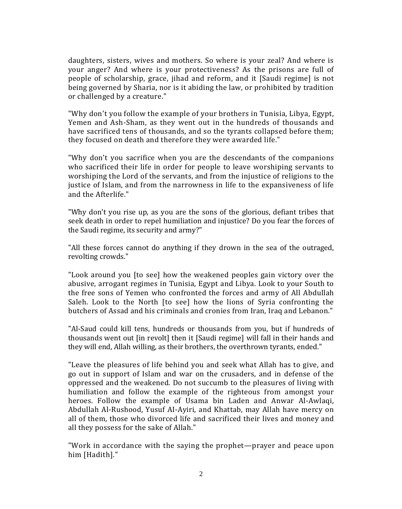daughters, sisters, wives and mothers. So where is your zeal? And where is your anger? And where is your protectiveness? As the prisons are full of people of scholarship, grace, jihad and reform, and it [Saudi regime] is not being governed by Sharia, nor is it abiding the law, or prohibited by tradition or challenged by a creature."

"Why don't you follow the example of your brothers in Tunisia, Libya, Egypt, Yemen and Ash-Sham, as they went out in the hundreds of thousands and have sacrificed tens of thousands, and so the tyrants collapsed before them; they focused on death and therefore they were awarded life."

"Why don't you sacrifice when you are the descendants of the companions who sacrificed their life in order for people to leave worshiping servants to worshiping the Lord of the servants, and from the injustice of religions to the justice of Islam, and from the narrowness in life to the expansiveness of life and the Afterlife."

"Why don't you rise up, as you are the sons of the glorious, defiant tribes that seek death in order to repel humiliation and injustice? Do you fear the forces of the Saudi regime, its security and army?"

"All these forces cannot do anything if they drown in the sea of the outraged, revolting crowds."

"Look around you [to see] how the weakened peoples gain victory over the abusive, arrogant regimes in Tunisia, Egypt and Libya. Look to your South to the free sons of Yemen who confronted the forces and army of All Abdullah Saleh. Look to the North [to see] how the lions of Syria confronting the butchers of Assad and his criminals and cronies from Iran, Iraq and Lebanon."

"Al-Saud could kill tens, hundreds or thousands from you, but if hundreds of thousands went out [in revolt] then it [Saudi regime] will fall in their hands and they will end, Allah willing, as their brothers, the overthrown tyrants, ended."

"Leave the pleasures of life behind you and seek what Allah has to give, and go out in support of Islam and war on the crusaders, and in defense of the oppressed and the weakened. Do not succumb to the pleasures of living with humiliation and follow the example of the righteous from amongst your heroes. Follow the example of Usama bin Laden and Anwar Al-Awlaqi, Abdullah Al-Rushood, Yusuf AI-Ayiri, and Khattab, may Allah have mercy on all of them, those who divorced life and sacrificed their lives and money and all they possess for the sake of Allah."

"Work in accordance with the saying the prophet—prayer and peace upon him [Hadith]."